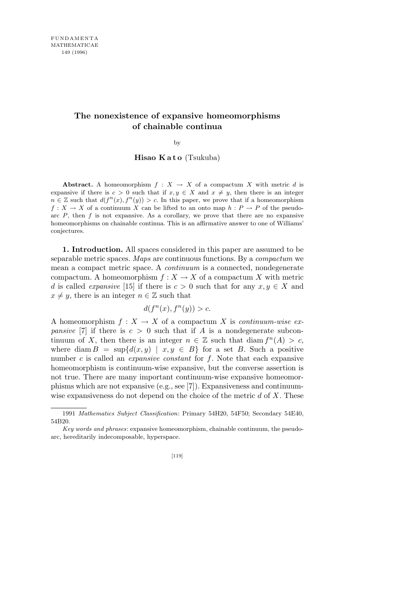## **The nonexistence of expansive homeomorphisms of chainable continua**

by

**Hisao Kato** (Tsukuba)

**Abstract.** A homeomorphism  $f: X \to X$  of a compactum X with metric d is expansive if there is  $c > 0$  such that if  $x, y \in X$  and  $x \neq y$ , then there is an integer  $n \in \mathbb{Z}$  such that  $d(f^n(x), f^n(y)) > c$ . In this paper, we prove that if a homeomorphism  $f: X \to X$  of a continuum X can be lifted to an onto map  $h: P \to P$  of the pseudoarc  $P$ , then  $f$  is not expansive. As a corollary, we prove that there are no expansive homeomorphisms on chainable continua. This is an affirmative answer to one of Williams' conjectures.

**1. Introduction.** All spaces considered in this paper are assumed to be separable metric spaces. *Maps* are continuous functions. By a *compactum* we mean a compact metric space. A *continuum* is a connected, nondegenerate compactum. A homeomorphism  $f: X \to X$  of a compactum X with metric *d* is called *expansive* [15] if there is  $c > 0$  such that for any  $x, y \in X$  and  $x \neq y$ , there is an integer  $n \in \mathbb{Z}$  such that

$$
d(f^n(x), f^n(y)) > c.
$$

A homeomorphism  $f: X \to X$  of a compactum X is *continuum-wise expansive* [7] if there is  $c > 0$  such that if *A* is a nondegenerate subcontinuum of *X*, then there is an integer  $n \in \mathbb{Z}$  such that diam  $f^{n}(A) > c$ , where diam  $B = \sup\{d(x, y) \mid x, y \in B\}$  for a set *B*. Such a positive number *c* is called an *expansive constant* for *f*. Note that each expansive homeomorphism is continuum-wise expansive, but the converse assertion is not true. There are many important continuum-wise expansive homeomorphisms which are not expansive (e.g., see [7]). Expansiveness and continuumwise expansiveness do not depend on the choice of the metric *d* of *X*. These

<sup>1991</sup> *Mathematics Subject Classification*: Primary 54H20, 54F50; Secondary 54E40, 54B20.

*Key words and phrases*: expansive homeomorphism, chainable continuum, the pseudoarc, hereditarily indecomposable, hyperspace.

<sup>[119]</sup>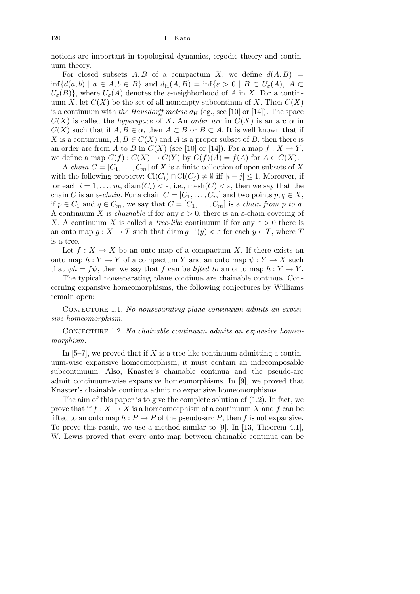notions are important in topological dynamics, ergodic theory and continuum theory.

For closed subsets  $A, B$  of a compactum  $X$ , we define  $d(A, B)$  =  $\inf \{ d(a, b) \mid a \in A, b \in B \}$  and  $d_H(A, B) = \inf \{ \varepsilon > 0 \mid B \subset U_{\varepsilon}(A), A \subset B \}$  $U_{\varepsilon}(B)$ }, where  $U_{\varepsilon}(A)$  denotes the *ε*-neighborhood of *A* in *X*. For a continuum *X*, let  $C(X)$  be the set of all nonempty subcontinua of *X*. Then  $C(X)$ is a continuum with *the Hausdorff metric*  $d_H$  (eg., see [10] or [14]). The space *C*(*X*) is called the *hyperspace* of *X*. An *order arc* in  $C(X)$  is an arc  $\alpha$  in  $C(X)$  such that if  $A, B \in \alpha$ , then  $A \subset B$  or  $B \subset A$ . It is well known that if *X* is a continuum,  $A, B \in C(X)$  and *A* is a proper subset of *B*, then there is an order arc from *A* to *B* in  $C(X)$  (see [10] or [14]). For a map  $f: X \to Y$ , we define a map  $C(f) : C(X) \to C(Y)$  by  $C(f)(A) = f(A)$  for  $A \in C(X)$ .

A *chain*  $C = [C_1, \ldots, C_m]$  of X is a finite collection of open subsets of X with the following property:  $\text{Cl}(C_i) \cap \text{Cl}(C_j) \neq \emptyset$  iff  $|i-j| \leq 1$ . Moreover, if for each  $i = 1, \ldots, m$ , diam $(C_i) < \varepsilon$ , i.e., mesh $(C) < \varepsilon$ , then we say that the chain *C* is an  $\varepsilon$ -*chain*. For a chain  $C = [C_1, \ldots, C_m]$  and two points  $p, q \in X$ , if  $p \in C_1$  and  $q \in C_m$ , we say that  $C = [C_1, \ldots, C_m]$  is a *chain from*  $p$  *to*  $q$ . A continuum *X* is *chainable* if for any  $\varepsilon > 0$ , there is an  $\varepsilon$ -chain covering of *X*. A continuum *X* is called a *tree-like* continuum if for any  $\varepsilon > 0$  there is an onto map  $g: X \to T$  such that  $\text{diam } g^{-1}(y) < \varepsilon$  for each  $y \in T$ , where *T* is a tree.

Let  $f: X \to X$  be an onto map of a compactum X. If there exists an onto map  $h: Y \to Y$  of a compactum *Y* and an onto map  $\psi: Y \to X$  such that  $\psi h = f \psi$ , then we say that *f* can be *lifted to* an onto map  $h: Y \to Y$ .

The typical nonseparating plane continua are chainable continua. Concerning expansive homeomorphisms, the following conjectures by Williams remain open:

CONJECTURE 1.1. No nonseparating plane continuum admits an expan*sive homeomorphism.*

CONJECTURE 1.2. No chainable continuum admits an expansive homeo*morphism.*

In  $[5-7]$ , we proved that if *X* is a tree-like continuum admitting a continuum-wise expansive homeomorphism, it must contain an indecomposable subcontinuum. Also, Knaster's chainable continua and the pseudo-arc admit continuum-wise expansive homeomorphisms. In [9], we proved that Knaster's chainable continua admit no expansive homeomorphisms.

The aim of this paper is to give the complete solution of  $(1.2)$ . In fact, we prove that if  $f: X \to X$  is a homeomorphism of a continuum X and f can be lifted to an onto map  $h : P \to P$  of the pseudo-arc *P*, then *f* is not expansive. To prove this result, we use a method similar to [9]. In [13, Theorem 4.1], W. Lewis proved that every onto map between chainable continua can be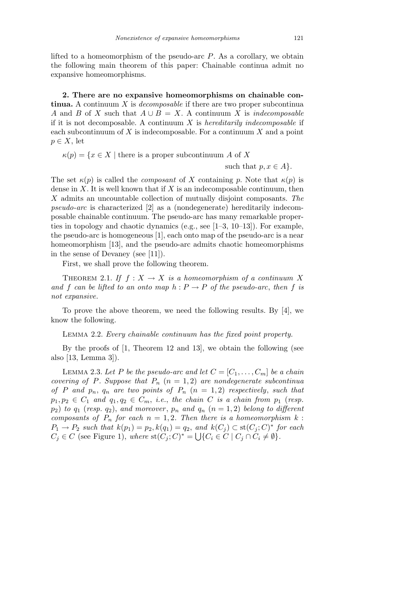lifted to a homeomorphism of the pseudo-arc *P*. As a corollary, we obtain the following main theorem of this paper: Chainable continua admit no expansive homeomorphisms.

**2. There are no expansive homeomorphisms on chainable continua.** A continuum *X* is *decomposable* if there are two proper subcontinua *A* and *B* of *X* such that  $A \cup B = X$ . A continuum *X* is *indecomposable* if it is not decomposable. A continuum *X* is *hereditarily indecomposable* if each subcontinuum of *X* is indecomposable. For a continuum *X* and a point  $p \in X$ , let

 $\kappa(p) = \{x \in X \mid \text{there is a proper subcontinuum } A \text{ of } X\}$ 

such that  $p, x \in A$ *}*.

The set  $\kappa(p)$  is called the *composant* of *X* containing *p*. Note that  $\kappa(p)$  is dense in  $X$ . It is well known that if  $X$  is an indecomposable continuum, then *X* admits an uncountable collection of mutually disjoint composants. *The pseudo-arc* is characterized [2] as a (nondegenerate) hereditarily indecomposable chainable continuum. The pseudo-arc has many remarkable properties in topology and chaotic dynamics (e.g., see [1–3, 10–13]). For example, the pseudo-arc is homogeneous [1], each onto map of the pseudo-arc is a near homeomorphism [13], and the pseudo-arc admits chaotic homeomorphisms in the sense of Devaney (see [11]).

First, we shall prove the following theorem.

THEOREM 2.1. *If*  $f: X \to X$  *is a homeomorphism of a continuum X and f can be lifted to an onto map*  $h : P \to P$  *of the pseudo-arc, then f is not expansive.*

To prove the above theorem, we need the following results. By [4], we know the following.

Lemma 2.2. *Every chainable continuum has the fixed point property.*

By the proofs of [1, Theorem 12 and 13], we obtain the following (see also [13, Lemma 3]).

LEMMA 2.3. Let P be the pseudo-arc and let  $C = [C_1, \ldots, C_m]$  be a chain *covering of P. Suppose that*  $P_n$  ( $n = 1,2$ ) *are nondegenerate subcontinua of P* and  $p_n$ ,  $q_n$  are two points of  $P_n$  ( $n = 1, 2$ ) respectively, such that  $p_1, p_2 \in C_1$  *and*  $q_1, q_2 \in C_m$ , *i.e.*, *the chain C is a chain from*  $p_1$  (*resp.*  $p_2$  *to*  $q_1$  (*resp.*  $q_2$ ), and moreover,  $p_n$  and  $q_n$  ( $n = 1, 2$ ) belong to different *composants of*  $P_n$  *for each*  $n = 1, 2$ *. Then there is a homeomorphism*  $k$  : *P*<sub>1</sub> → *P*<sub>2</sub> *such that*  $k(p_1) = p_2, k(q_1) = q_2$ , and  $k(C_j) \subset$  st( $C_j$ ;  $C$ )<sup>\*</sup> *for each*  $C_j \in C$  (see Figure 1), where  $\operatorname{st}(C_j; C)^* = \bigcup \{C_i \in C \mid C_j \cap C_i \neq \emptyset\}.$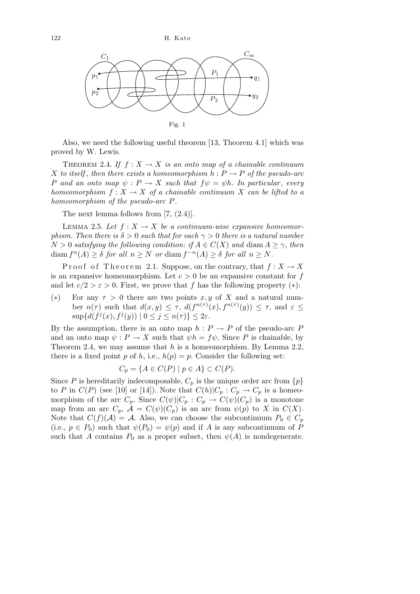

Also, we need the following useful theorem [13, Theorem 4.1] which was proved by W. Lewis.

THEOREM 2.4. If  $f: X \to X$  is an onto map of a chainable continuum *X to itself*, *then there exists a homeomorphism*  $h: P \rightarrow P$  *of the pseudo-arc P and an onto map*  $\psi$  : *P*  $\rightarrow$  *X such that*  $f\psi = \psi h$ *. In particular, every homeomorphism*  $f: X \to X$  *of a chainable continuum X can be lifted to a homeomorphism of the pseudo-arc P.*

The next lemma follows from [7,  $(2.4)$ ].

LEMMA 2.5. Let  $f: X \to X$  be a continuum-wise expansive homeomor*phism. Then there is*  $\delta > 0$  *such that for each*  $\gamma > 0$  *there is a natural number*  $N > 0$  *satisfying the following condition: if*  $A \in C(X)$  *and* diam  $A > \gamma$ , *then* diam  $f^{n}(A) \geq \delta$  *for all*  $n \geq N$  *or* diam  $f^{-n}(A) \geq \delta$  *for all*  $n \geq N$ *.* 

Proof of Theorem 2.1. Suppose, on the contrary, that  $f: X \to X$ is an expansive homeomorphism. Let  $c > 0$  be an expansive constant for  $f$ and let  $c/2 > \varepsilon > 0$ . First, we prove that f has the following property  $(*)$ :

(\*) For any  $\tau > 0$  there are two points *x, y* of *X* and a natural number  $n(\tau)$  such that  $d(x, y) \leq \tau$ ,  $d(f^{n(\tau)}(x), f^{n(\tau)}(y)) \leq \tau$ , and  $\varepsilon \leq$  $\sup\{d(f^j(x), f^j(y)) \mid 0 \le j \le n(\tau)\} \le 2\varepsilon$ .

By the assumption, there is an onto map  $h : P \to P$  of the pseudo-arc *P* and an onto map  $\psi : P \to X$  such that  $\psi h = f \psi$ . Since P is chainable, by Theorem 2.4, we may assume that *h* is a homeomorphism. By Lemma 2.2, there is a fixed point *p* of *h*, i.e.,  $h(p) = p$ . Consider the following set:

$$
C_p = \{ A \in C(P) \mid p \in A \} \subset C(P).
$$

Since *P* is hereditarily indecomposable,  $C_p$  is the unique order arc from  $\{p\}$ to *P* in  $C(P)$  (see [10] or [14]). Note that  $C(h)|C_p : C_p \to C_p$  is a homeomorphism of the arc  $C_p$ . Since  $C(\psi)|C_p : C_p \to C(\psi)(C_p)$  is a monotone map from an arc  $C_p$ ,  $\mathcal{A} = C(\psi)(C_p)$  is an arc from  $\psi(p)$  to *X* in  $C(X)$ . Note that  $C(f)(\mathcal{A}) = \mathcal{A}$ . Also, we can choose the subcontinuum  $P_0 \in C_p$ (i.e.,  $p \in P_0$ ) such that  $\psi(P_0) = \psi(p)$  and if *A* is any subcontinuum of *P* such that *A* contains  $P_0$  as a proper subset, then  $\psi(A)$  is nondegenerate.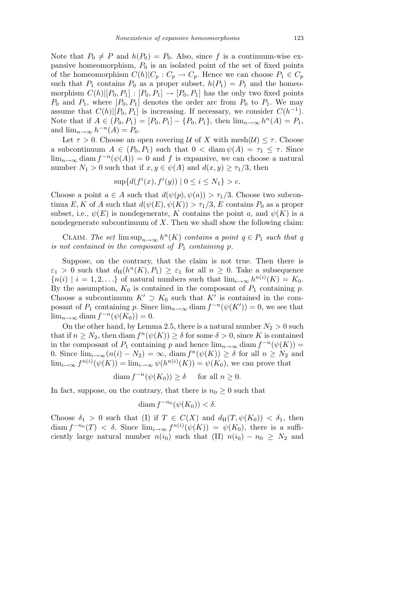Note that  $P_0 \neq P$  and  $h(P_0) = P_0$ . Also, since f is a continuum-wise expansive homeomorphism, *P*<sup>0</sup> is an isolated point of the set of fixed points of the homeomorphism  $C(h)|C_p : C_p \to C_p$ . Hence we can choose  $P_1 \in C_p$ such that  $P_1$  contains  $P_0$  as a proper subset,  $h(P_1) = P_1$  and the homeomorphism  $C(h)[P_0, P_1] : [P_0, P_1] \to [P_0, P_1]$  has the only two fixed points  $P_0$  and  $P_1$ , where  $[P_0, P_1]$  denotes the order arc from  $P_0$  to  $P_1$ . We may assume that  $C(h)[P_0, P_1]$  is increasing. If necessary, we consider  $C(h^{-1})$ . Note that if  $A \in (P_0, P_1) = [P_0, P_1] - \{P_0, P_1\}$ , then  $\lim_{n \to \infty} h^n(A) = P_1$ , and  $\lim_{n\to\infty} h^{-n}(A) = P_0$ .

Let  $\tau > 0$ . Choose an open covering *U* of *X* with mesh $(\mathcal{U}) \leq \tau$ . Choose a subcontinuum  $A \in (P_0, P_1)$  such that  $0 < \text{diam } \psi(A) = \tau_1 \leq \tau$ . Since  $\lim_{n\to\infty}$  diam  $f^{-n}(\psi(A))=0$  and f is expansive, we can choose a natural number  $N_1 > 0$  such that if  $x, y \in \psi(A)$  and  $d(x, y) \geq \tau_1/3$ , then

$$
\sup \{ d(f^i(x), f^i(y)) \mid 0 \le i \le N_1 \} > c.
$$

Choose a point  $a \in A$  such that  $d(\psi(p), \psi(a)) > \tau_1/3$ . Choose two subcontinua *E*, *K* of *A* such that  $d(\psi(E), \psi(K)) > \tau_1/3$ , *E* contains *P*<sup>0</sup> as a proper subset, i.e.,  $\psi(E)$  is nondegenerate, *K* contains the point *a*, and  $\psi(K)$  is a nondegenerate subcontinuum of *X*. Then we shall show the following claim:

CLAIM. The set  $\limsup_{n\to\infty} h^n(K)$  contains a point  $q \in P_1$  such that q *is not contained in the composant of*  $P_1$  *containing*  $p$ *.* 

Suppose, on the contrary, that the claim is not true. Then there is  $\varepsilon_1 > 0$  such that  $d_H(h^n(K), P_1) \geq \varepsilon_1$  for all  $n \geq 0$ . Take a subsequence  ${n(i) | i = 1, 2, \ldots}$  of natural numbers such that  $\lim_{i\to\infty} h^{n(i)}(K) = K_0$ . By the assumption,  $K_0$  is contained in the composant of  $P_1$  containing  $p$ . Choose a subcontinuum  $K' \supset K_0$  such that  $K'$  is contained in the composant of  $P_1$  containing  $p$ . Since  $\lim_{n\to\infty}$  diam  $f^{-n}(\psi(K'))=0$ , we see that  $\lim_{n\to\infty}$  diam  $f^{-n}(\psi(K_0))=0.$ 

On the other hand, by Lemma 2.5, there is a natural number  $N_2 > 0$  such that if  $n \geq N_2$ , then diam  $f^n(\psi(K)) \geq \delta$  for some  $\delta > 0$ , since K is contained in the composant of  $P_1$  containing  $p$  and hence  $\lim_{n\to\infty}$  diam  $f^{-n}(\psi(K))=$ 0. Since  $\lim_{i\to\infty} (n(i) - N_2) = \infty$ , diam  $f^n(\psi(K)) \ge \delta$  for all  $n \ge N_2$  and  $\lim_{i\to\infty} f^{n(i)}(\psi(K)) = \lim_{i\to\infty} \psi(h^{n(i)}(K)) = \psi(K_0)$ , we can prove that

diam  $f^{-n}(\psi(K_0)) \ge \delta$  for all  $n \ge 0$ .

In fact, suppose, on the contrary, that there is  $n_0 \geq 0$  such that

$$
\text{diam } f^{-n_0}(\psi(K_0)) < \delta.
$$

Choose  $\delta_1 > 0$  such that (I) if  $T \in C(X)$  and  $d_H(T, \psi(K_0)) < \delta_1$ , then diam  $f^{-n_0}(T) < \delta$ . Since  $\lim_{i\to\infty} f^{n(i)}(\psi(K)) = \psi(K_0)$ , there is a sufficiently large natural number  $n(i_0)$  such that (II)  $n(i_0) - n_0 \geq N_2$  and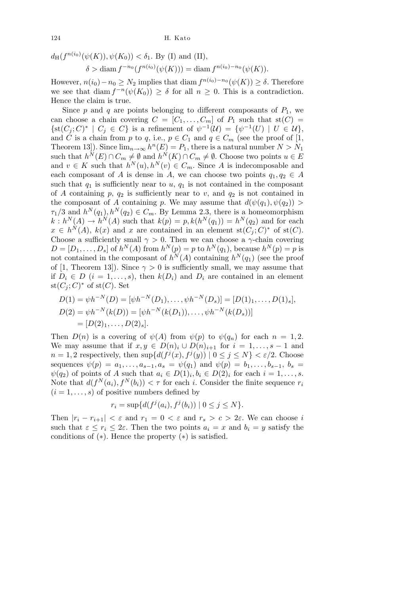$$
d_H(f^{n(i_0)}(\psi(K)), \psi(K_0)) < \delta_1
$$
. By (I) and (II),  

$$
\delta > \text{diam } f^{-n_0}(f^{n(i_0)}(\psi(K))) = \text{diam } f^{n(i_0)-n_0}(\psi(K)).
$$

However,  $n(i_0) - n_0 \geq N_2$  implies that diam  $f^{n(i_0)-n_0}(\psi(K)) \geq \delta$ . Therefore we see that diam  $f^{-n}(\psi(K_0)) \ge \delta$  for all  $n \ge 0$ . This is a contradiction. Hence the claim is true.

Since  $p$  and  $q$  are points belonging to different composants of  $P_1$ , we can choose a chain covering  $C = [C_1, \ldots, C_m]$  of  $P_1$  such that  $st(C)$  $\{st(C_j; C)^* \mid C_j \in C\}$  is a refinement of  $\psi^{-1}(\mathcal{U}) = \{\psi^{-1}(U) \mid U \in \mathcal{U}\},\$ and *C* is a chain from *p* to *q*, i.e.,  $p \in C_1$  and  $q \in C_m$  (see the proof of [1, Theorem 13]). Since  $\lim_{n\to\infty} h^n(E) = P_1$ , there is a natural number  $N > N_1$ such that  $h^{\tilde{N}}(E) \cap C_m \neq \emptyset$  and  $h^{\tilde{N}}(K) \cap C_m \neq \emptyset$ . Choose two points  $u \in E$ and  $v \in K$  such that  $h^N(u), h^N(v) \in C_m$ . Since *A* is indecomposable and each composant of *A* is dense in *A*, we can choose two points  $q_1, q_2 \in A$ such that  $q_1$  is sufficiently near to  $u$ ,  $q_1$  is not contained in the composant of *A* containing  $p$ ,  $q_2$  is sufficiently near to  $v$ , and  $q_2$  is not contained in the composant of *A* containing *p*. We may assume that  $d(\psi(q_1), \psi(q_2))$  $\tau_1/3$  and  $h^N(q_1), h^N(q_2) \in C_m$ . By Lemma 2.3, there is a homeomorphism  $k: h^{N}(A) \to h^{N}(A)$  such that  $k(p) = p, k(h^{N}(q_{1})) = h^{N}(q_{2})$  and for each  $x \in h^N(A)$ ,  $k(x)$  and *x* are contained in an element st $(C_j; C)^*$  of st $(C)$ . Choose a sufficiently small  $\gamma > 0$ . Then we can choose a *γ*-chain covering  $D = [D_1, \ldots, D_s]$  of  $h^N(A)$  from  $h^N(p) = p$  to  $h^N(q_1)$ , because  $h^N(p) = p$  is not contained in the composant of  $h^N(A)$  containing  $h^N(q_1)$  (see the proof of [1, Theorem 13]). Since  $\gamma > 0$  is sufficiently small, we may assume that if  $D_i \in D$  ( $i = 1, \ldots, s$ ), then  $k(D_i)$  and  $D_i$  are contained in an element  $\operatorname{st}(C_j;C)^*$  of  $\operatorname{st}(C)$ . Set

$$
D(1) = \psi h^{-N}(D) = [\psi h^{-N}(D_1), \dots, \psi h^{-N}(D_s)] = [D(1)_1, \dots, D(1)_s],
$$
  
\n
$$
D(2) = \psi h^{-N}(k(D)) = [\psi h^{-N}(k(D_1)), \dots, \psi h^{-N}(k(D_s))]
$$
  
\n
$$
= [D(2)_1, \dots, D(2)_s].
$$

Then  $D(n)$  is a covering of  $\psi(A)$  from  $\psi(p)$  to  $\psi(q_n)$  for each  $n = 1, 2$ . We may assume that if  $x, y \in D(n)_i \cup D(n)_{i+1}$  for  $i = 1, \ldots, s-1$  and  $n = 1, 2$  respectively, then  $\sup\{d(f^j(x), f^j(y)) \mid 0 \leq j \leq N\} < \varepsilon/2$ . Choose sequences  $\psi(p) = a_1, \ldots, a_{s-1}, a_s = \psi(q_1)$  and  $\psi(p) = b_1, \ldots, b_{s-1}, b_s =$  $\psi(q_2)$  of points of *A* such that  $a_i \in D(1)_i, b_i \in D(2)_i$  for each  $i = 1, \ldots, s$ . Note that  $d(f^N(a_i), f^N(b_i)) < \tau$  for each *i*. Consider the finite sequence  $r_i$  $(i = 1, \ldots, s)$  of positive numbers defined by

$$
r_i = \sup \{ d(f^j(a_i), f^j(b_i)) \mid 0 \le j \le N \}.
$$

Then  $|r_i - r_{i+1}| < \varepsilon$  and  $r_1 = 0 < \varepsilon$  and  $r_s > c > 2\varepsilon$ . We can choose *i* such that  $\varepsilon \leq r_i \leq 2\varepsilon$ . Then the two points  $a_i = x$  and  $b_i = y$  satisfy the conditions of (*∗*). Hence the property (*∗*) is satisfied.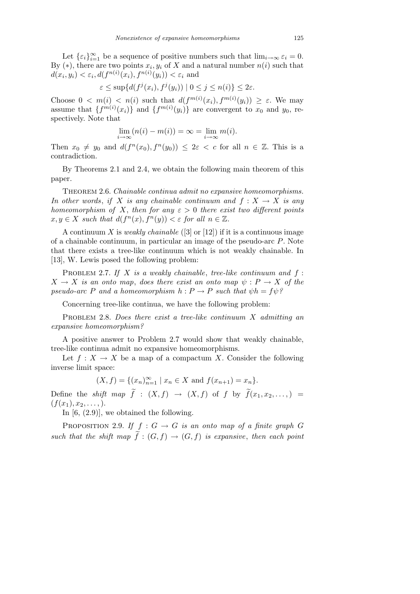Let  $\{\varepsilon_i\}_{i=1}^{\infty}$  be a sequence of positive numbers such that  $\lim_{i\to\infty} \varepsilon_i = 0$ . By  $(*)$ , there are two points  $x_i, y_i$  of X and a natural number  $n(i)$  such that  $d(x_i, y_i) < \varepsilon_i$ ,  $d(f^{n(i)}(x_i), f^{n(i)}(y_i)) < \varepsilon_i$  and

$$
\varepsilon \leq \sup\{d(f^j(x_i), f^j(y_i)) \mid 0 \leq j \leq n(i)\} \leq 2\varepsilon.
$$

Choose  $0 < m(i) < n(i)$  such that  $d(f^{m(i)}(x_i), f^{m(i)}(y_i)) \geq \varepsilon$ . We may assume that  $\{f^{m(i)}(x_i)\}$  and  $\{f^{m(i)}(y_i)\}$  are convergent to  $x_0$  and  $y_0$ , respectively. Note that

$$
\lim_{i \to \infty} (n(i) - m(i)) = \infty = \lim_{i \to \infty} m(i).
$$

Then  $x_0 \neq y_0$  and  $d(f^n(x_0), f^n(y_0)) \leq 2\varepsilon < c$  for all  $n \in \mathbb{Z}$ . This is a contradiction.

By Theorems 2.1 and 2.4, we obtain the following main theorem of this paper.

Theorem 2.6. *Chainable continua admit no expansive homeomorphisms. In other words, if X is any chainable continuum and*  $f: X \to X$  *is any homeomorphism of X*, *then for any*  $\varepsilon > 0$  *there exist two different points*  $x, y \in X$  *such that*  $d(f^n(x), f^n(y)) < \varepsilon$  *for all*  $n \in \mathbb{Z}$ *.* 

A continuum *X* is *weakly chainable* ([3] or [12]) if it is a continuous image of a chainable continuum, in particular an image of the pseudo-arc *P*. Note that there exists a tree-like continuum which is not weakly chainable. In [13], W. Lewis posed the following problem:

Problem 2.7. *If X is a weakly chainable*, *tree-like continuum and f* :  $X \rightarrow X$  *is an onto map, does there exist an onto map*  $\psi : P \rightarrow X$  *of the pseudo-arc P* and a homeomorphism  $h: P \to P$  *such that*  $\psi h = f \psi$ ?

Concerning tree-like continua, we have the following problem:

Problem 2.8. *Does there exist a tree-like continuum X admitting an expansive homeomorphism?*

A positive answer to Problem 2.7 would show that weakly chainable, tree-like continua admit no expansive homeomorphisms.

Let  $f: X \to X$  be a map of a compactum *X*. Consider the following inverse limit space:

$$
(X, f) = \{(x_n)_{n=1}^{\infty} \mid x_n \in X \text{ and } f(x_{n+1}) = x_n\}.
$$

Define the *shift* map  $\tilde{f}$  :  $(X, f) \rightarrow (X, f)$  of f by  $\tilde{f}(x_1, x_2, \ldots)$  =  $(f(x_1), x_2, \ldots).$ 

In [6, (2.9)], we obtained the following.

PROPOSITION 2.9. *If*  $f : G \to G$  *is an onto map of a finite graph G such that the shift map*  $\tilde{f}$  :  $(G, f) \rightarrow (G, f)$  *is expansive, then each point*